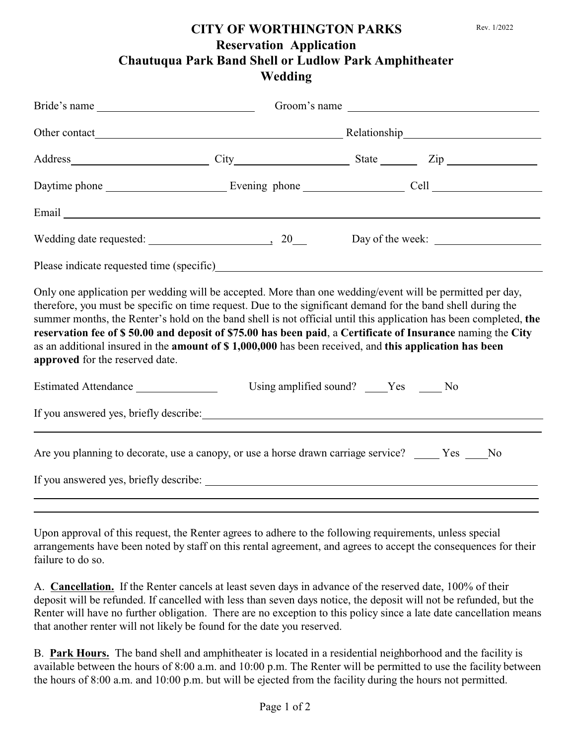## **CITY OF WORTHINGTON PARKS Reservation Application Chautuqua Park Band Shell or Ludlow Park Amphitheater Wedding**

| Bride's name                                                                                                                                                                                                                                                                                                                                                                                                                                                                                                                                                                                                      |                                        |  | Groom's name |  |  |
|-------------------------------------------------------------------------------------------------------------------------------------------------------------------------------------------------------------------------------------------------------------------------------------------------------------------------------------------------------------------------------------------------------------------------------------------------------------------------------------------------------------------------------------------------------------------------------------------------------------------|----------------------------------------|--|--------------|--|--|
|                                                                                                                                                                                                                                                                                                                                                                                                                                                                                                                                                                                                                   |                                        |  |              |  |  |
| Address City City State Zip                                                                                                                                                                                                                                                                                                                                                                                                                                                                                                                                                                                       |                                        |  |              |  |  |
|                                                                                                                                                                                                                                                                                                                                                                                                                                                                                                                                                                                                                   |                                        |  |              |  |  |
| Email Land and the same state of the same state of the same state of the same state of the same state of the same state of the same state of the same state of the same state of the same state of the same state of the same                                                                                                                                                                                                                                                                                                                                                                                     |                                        |  |              |  |  |
| Wedding date requested: 20                                                                                                                                                                                                                                                                                                                                                                                                                                                                                                                                                                                        |                                        |  |              |  |  |
|                                                                                                                                                                                                                                                                                                                                                                                                                                                                                                                                                                                                                   |                                        |  |              |  |  |
| Only one application per wedding will be accepted. More than one wedding/event will be permitted per day,<br>therefore, you must be specific on time request. Due to the significant demand for the band shell during the<br>summer months, the Renter's hold on the band shell is not official until this application has been completed, the<br>reservation fee of \$50.00 and deposit of \$75.00 has been paid, a Certificate of Insurance naming the City<br>as an additional insured in the <b>amount of \$1,000,000</b> has been received, and this application has been<br>approved for the reserved date. |                                        |  |              |  |  |
| Estimated Attendance                                                                                                                                                                                                                                                                                                                                                                                                                                                                                                                                                                                              | Using amplified sound? ____Yes _____No |  |              |  |  |
|                                                                                                                                                                                                                                                                                                                                                                                                                                                                                                                                                                                                                   |                                        |  |              |  |  |
| Are you planning to decorate, use a canopy, or use a horse drawn carriage service? _____ Yes ____No                                                                                                                                                                                                                                                                                                                                                                                                                                                                                                               |                                        |  |              |  |  |
|                                                                                                                                                                                                                                                                                                                                                                                                                                                                                                                                                                                                                   |                                        |  |              |  |  |

Upon approval of this request, the Renter agrees to adhere to the following requirements, unless special arrangements have been noted by staff on this rental agreement, and agrees to accept the consequences for their failure to do so.

A. **Cancellation.** If the Renter cancels at least seven days in advance of the reserved date, 100% of their deposit will be refunded. If cancelled with less than seven days notice, the deposit will not be refunded, but the Renter will have no further obligation. There are no exception to this policy since a late date cancellation means that another renter will not likely be found for the date you reserved.

B. **Park Hours.** The band shell and amphitheater is located in a residential neighborhood and the facility is available between the hours of 8:00 a.m. and 10:00 p.m. The Renter will be permitted to use the facility between the hours of 8:00 a.m. and 10:00 p.m. but will be ejected from the facility during the hours not permitted.